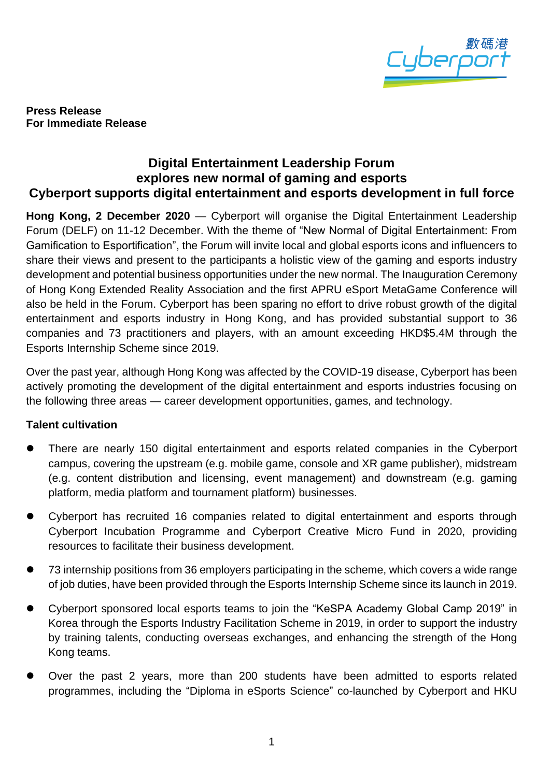

**Press Release For Immediate Release**

# **Digital Entertainment Leadership Forum explores new normal of gaming and esports Cyberport supports digital entertainment and esports development in full force**

**Hong Kong, 2 December 2020** — Cyberport will organise the Digital Entertainment Leadership Forum (DELF) on 11-12 December. With the theme of "New Normal of Digital Entertainment: From Gamification to Esportification", the Forum will invite local and global esports icons and influencers to share their views and present to the participants a holistic view of the gaming and esports industry development and potential business opportunities under the new normal. The Inauguration Ceremony of Hong Kong Extended Reality Association and the first APRU eSport MetaGame Conference will also be held in the Forum. Cyberport has been sparing no effort to drive robust growth of the digital entertainment and esports industry in Hong Kong, and has provided substantial support to 36 companies and 73 practitioners and players, with an amount exceeding HKD\$5.4M through the Esports Internship Scheme since 2019.

Over the past year, although Hong Kong was affected by the COVID-19 disease, Cyberport has been actively promoting the development of the digital entertainment and esports industries focusing on the following three areas — career development opportunities, games, and technology.

## **Talent cultivation**

- ⚫ There are nearly 150 digital entertainment and esports related companies in the Cyberport campus, covering the upstream (e.g. mobile game, console and XR game publisher), midstream (e.g. content distribution and licensing, event management) and downstream (e.g. gaming platform, media platform and tournament platform) businesses.
- ⚫ Cyberport has recruited 16 companies related to digital entertainment and esports through Cyberport Incubation Programme and Cyberport Creative Micro Fund in 2020, providing resources to facilitate their business development.
- ⚫ 73 internship positions from 36 employers participating in the scheme, which covers a wide range of job duties, have been provided through the Esports Internship Scheme since its launch in 2019.
- ⚫ Cyberport sponsored local esports teams to join the "KeSPA Academy Global Camp 2019" in Korea through the Esports Industry Facilitation Scheme in 2019, in order to support the industry by training talents, conducting overseas exchanges, and enhancing the strength of the Hong Kong teams.
- ⚫ Over the past 2 years, more than 200 students have been admitted to esports related programmes, including the "Diploma in eSports Science" co-launched by Cyberport and HKU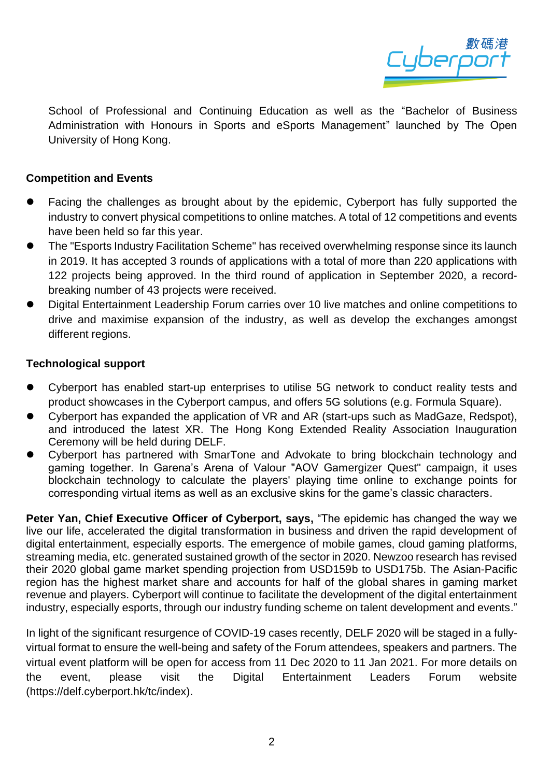

School of Professional and Continuing Education as well as the "Bachelor of Business Administration with Honours in Sports and eSports Management" launched by The Open University of Hong Kong.

### **Competition and Events**

- ⚫ Facing the challenges as brought about by the epidemic, Cyberport has fully supported the industry to convert physical competitions to online matches. A total of 12 competitions and events have been held so far this year.
- ⚫ The "Esports Industry Facilitation Scheme" has received overwhelming response since its launch in 2019. It has accepted 3 rounds of applications with a total of more than 220 applications with 122 projects being approved. In the third round of application in September 2020, a recordbreaking number of 43 projects were received.
- ⚫ Digital Entertainment Leadership Forum carries over 10 live matches and online competitions to drive and maximise expansion of the industry, as well as develop the exchanges amongst different regions.

### **Technological support**

- ⚫ Cyberport has enabled start-up enterprises to utilise 5G network to conduct reality tests and product showcases in the Cyberport campus, and offers 5G solutions (e.g. Formula Square).
- ⚫ Cyberport has expanded the application of VR and AR (start-ups such as MadGaze, Redspot), and introduced the latest XR. The Hong Kong Extended Reality Association Inauguration Ceremony will be held during DELF.
- ⚫ Cyberport has partnered with SmarTone and Advokate to bring blockchain technology and gaming together. In Garena's Arena of Valour "AOV Gamergizer Quest" campaign, it uses blockchain technology to calculate the players' playing time online to exchange points for corresponding virtual items as well as an exclusive skins for the game's classic characters.

**Peter Yan, Chief Executive Officer of Cyberport, says,** "The epidemic has changed the way we live our life, accelerated the digital transformation in business and driven the rapid development of digital entertainment, especially esports. The emergence of mobile games, cloud gaming platforms, streaming media, etc. generated sustained growth of the sector in 2020. Newzoo research has revised their 2020 global game market spending projection from USD159b to USD175b. The Asian-Pacific region has the highest market share and accounts for half of the global shares in gaming market revenue and players. Cyberport will continue to facilitate the development of the digital entertainment industry, especially esports, through our industry funding scheme on talent development and events."

In light of the significant resurgence of COVID-19 cases recently, DELF 2020 will be staged in a fullyvirtual format to ensure the well-being and safety of the Forum attendees, speakers and partners. The virtual event platform will be open for access from 11 Dec 2020 to 11 Jan 2021. For more details on the event, please visit the Digital Entertainment Leaders Forum website (https://delf.cyberport.hk/tc/index).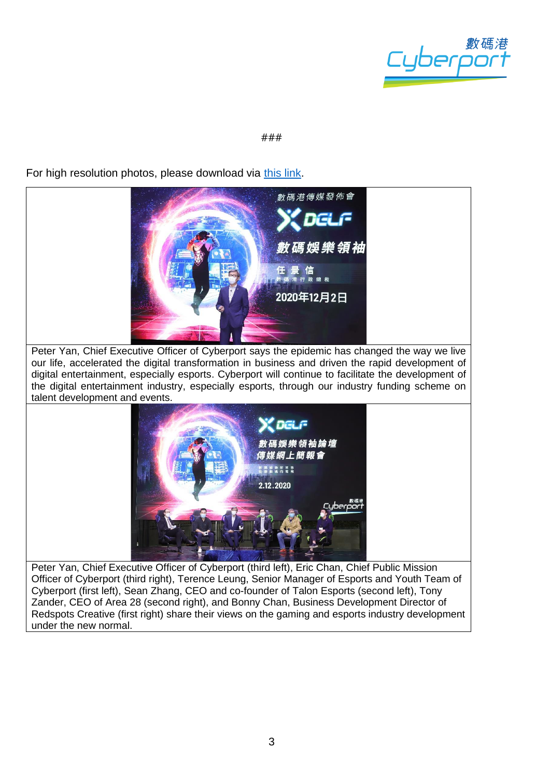

#### ###

For high resolution photos, please download via [this link.](https://drive.google.com/drive/folders/10CRb-iIqe42VYCcktvvUbqH2Og-pZh_y?usp=sharing)



Officer of Cyberport (third right), Terence Leung, Senior Manager of Esports and Youth Team of Cyberport (first left), Sean Zhang, CEO and co-founder of Talon Esports (second left), Tony Zander, CEO of Area 28 (second right), and Bonny Chan, Business Development Director of Redspots Creative (first right) share their views on the gaming and esports industry development under the new normal.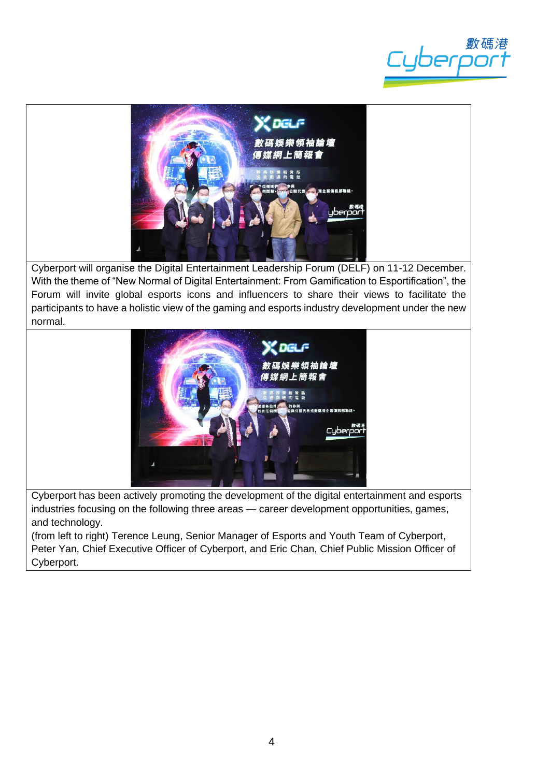



Cyberport will organise the Digital Entertainment Leadership Forum (DELF) on 11-12 December. With the theme of "New Normal of Digital Entertainment: From Gamification to Esportification", the Forum will invite global esports icons and influencers to share their views to facilitate the participants to have a holistic view of the gaming and esports industry development under the new normal.



Cyberport has been actively promoting the development of the digital entertainment and esports industries focusing on the following three areas — career development opportunities, games, and technology.

(from left to right) Terence Leung, Senior Manager of Esports and Youth Team of Cyberport, Peter Yan, Chief Executive Officer of Cyberport, and Eric Chan, Chief Public Mission Officer of Cyberport.